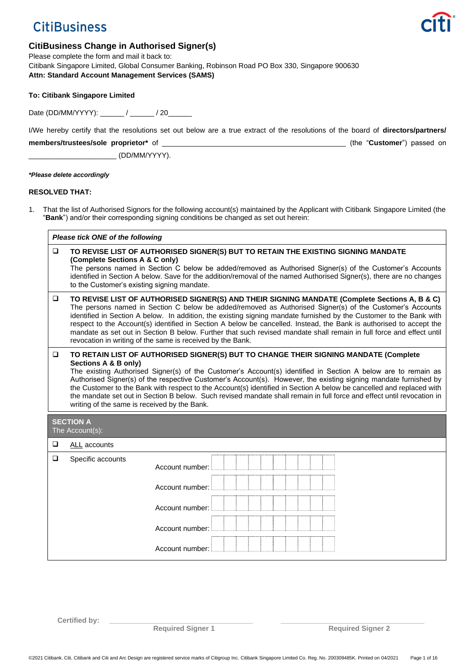# **CitiBusiness**



# **CitiBusiness Change in Authorised Signer(s)**

Please complete the form and mail it back to: Citibank Singapore Limited, Global Consumer Banking, Robinson Road PO Box 330, Singapore 900630 **Attn: Standard Account Management Services (SAMS)**

| <b>To: Citibank Singapore Limited</b> |  |
|---------------------------------------|--|
|---------------------------------------|--|

Date (DD/MM/YYYY): \_\_\_\_\_\_/ \_\_\_\_\_\_/ 20\_\_\_\_\_\_

I/We hereby certify that the resolutions set out below are a true extract of the resolutions of the board of **directors/partners/**

**members/trustees/sole proprietor\*** of \_\_\_\_\_\_\_\_\_\_\_\_\_\_\_\_\_\_\_\_\_\_\_\_\_\_\_\_\_\_\_\_\_\_\_\_\_\_\_\_\_\_\_\_\_\_ (the "**Customer**") passed on

 $\begin{array}{ccc} \hline \end{array}$  (DD/MM/YYYY).

*\*Please delete accordingly*

## **RESOLVED THAT:**

1. That the list of Authorised Signors for the following account(s) maintained by the Applicant with Citibank Singapore Limited (the "**Bank**") and/or their corresponding signing conditions be changed as set out herein:

| Please tick ONE of the following |                                                                                                                                                                                                                                                                                                                                                                                                                                                                                                                                                                                                                                                     |                 |  |
|----------------------------------|-----------------------------------------------------------------------------------------------------------------------------------------------------------------------------------------------------------------------------------------------------------------------------------------------------------------------------------------------------------------------------------------------------------------------------------------------------------------------------------------------------------------------------------------------------------------------------------------------------------------------------------------------------|-----------------|--|
| $\Box$                           | TO REVISE LIST OF AUTHORISED SIGNER(S) BUT TO RETAIN THE EXISTING SIGNING MANDATE<br>(Complete Sections A & C only)<br>The persons named in Section C below be added/removed as Authorised Signer(s) of the Customer's Accounts<br>identified in Section A below. Save for the addition/removal of the named Authorised Signer(s), there are no changes<br>to the Customer's existing signing mandate.                                                                                                                                                                                                                                              |                 |  |
| $\Box$                           | TO REVISE LIST OF AUTHORISED SIGNER(S) AND THEIR SIGNING MANDATE (Complete Sections A, B & C)<br>The persons named in Section C below be added/removed as Authorised Signer(s) of the Customer's Accounts<br>identified in Section A below. In addition, the existing signing mandate furnished by the Customer to the Bank with<br>respect to the Account(s) identified in Section A below be cancelled. Instead, the Bank is authorised to accept the<br>mandate as set out in Section B below. Further that such revised mandate shall remain in full force and effect until<br>revocation in writing of the same is received by the Bank.       |                 |  |
| $\Box$                           | TO RETAIN LIST OF AUTHORISED SIGNER(S) BUT TO CHANGE THEIR SIGNING MANDATE (Complete<br>Sections A & B only)<br>The existing Authorised Signer(s) of the Customer's Account(s) identified in Section A below are to remain as<br>Authorised Signer(s) of the respective Customer's Account(s). However, the existing signing mandate furnished by<br>the Customer to the Bank with respect to the Account(s) identified in Section A below be cancelled and replaced with<br>the mandate set out in Section B below. Such revised mandate shall remain in full force and effect until revocation in<br>writing of the same is received by the Bank. |                 |  |
|                                  | <b>SECTION A</b><br>The Account(s):                                                                                                                                                                                                                                                                                                                                                                                                                                                                                                                                                                                                                 |                 |  |
| $\Box$                           | ALL accounts                                                                                                                                                                                                                                                                                                                                                                                                                                                                                                                                                                                                                                        |                 |  |
| $\Box$                           | Specific accounts                                                                                                                                                                                                                                                                                                                                                                                                                                                                                                                                                                                                                                   | Account number: |  |
|                                  |                                                                                                                                                                                                                                                                                                                                                                                                                                                                                                                                                                                                                                                     | Account number: |  |
|                                  |                                                                                                                                                                                                                                                                                                                                                                                                                                                                                                                                                                                                                                                     | Account number: |  |
|                                  |                                                                                                                                                                                                                                                                                                                                                                                                                                                                                                                                                                                                                                                     | Account number: |  |
|                                  |                                                                                                                                                                                                                                                                                                                                                                                                                                                                                                                                                                                                                                                     | Account number: |  |

Certified by:

**Required Signer 1 Required Signer 2**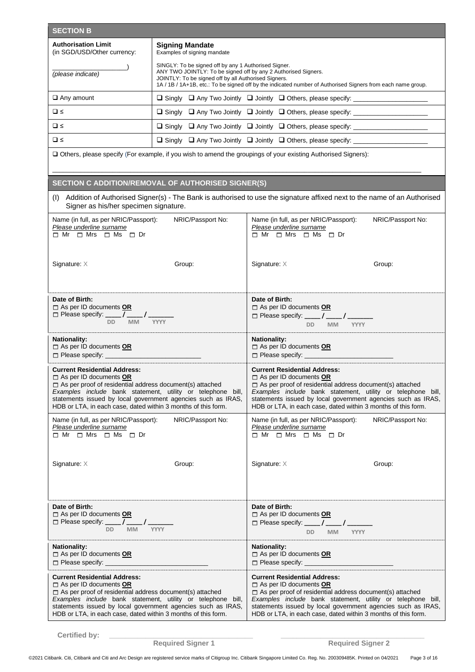| <b>SECTION B</b>                                                                                                                                                                                                                                                                                                                        |                                                                                                                                                                                                                                                                                               |                                                                                                                                                                                                                                                                                                                                         |                   |
|-----------------------------------------------------------------------------------------------------------------------------------------------------------------------------------------------------------------------------------------------------------------------------------------------------------------------------------------|-----------------------------------------------------------------------------------------------------------------------------------------------------------------------------------------------------------------------------------------------------------------------------------------------|-----------------------------------------------------------------------------------------------------------------------------------------------------------------------------------------------------------------------------------------------------------------------------------------------------------------------------------------|-------------------|
| <b>Authorisation Limit</b><br>(in SGD/USD/Other currency:                                                                                                                                                                                                                                                                               | <b>Signing Mandate</b><br>Examples of signing mandate                                                                                                                                                                                                                                         |                                                                                                                                                                                                                                                                                                                                         |                   |
| (please indicate)                                                                                                                                                                                                                                                                                                                       | SINGLY: To be signed off by any 1 Authorised Signer.<br>ANY TWO JOINTLY: To be signed off by any 2 Authorised Signers.<br>JOINTLY: To be signed off by all Authorised Signers.<br>1A / 1B / 1A+1B, etc.: To be signed off by the indicated number of Authorised Signers from each name group. |                                                                                                                                                                                                                                                                                                                                         |                   |
| $\Box$ Any amount                                                                                                                                                                                                                                                                                                                       |                                                                                                                                                                                                                                                                                               | □ Singly □ Any Two Jointly □ Jointly □ Others, please specify: ________________                                                                                                                                                                                                                                                         |                   |
| $\Box$                                                                                                                                                                                                                                                                                                                                  |                                                                                                                                                                                                                                                                                               | □ Singly □ Any Two Jointly □ Jointly □ Others, please specify: _________________                                                                                                                                                                                                                                                        |                   |
| $\Box$                                                                                                                                                                                                                                                                                                                                  |                                                                                                                                                                                                                                                                                               | □ Singly □ Any Two Jointly □ Jointly □ Others, please specify: ________________                                                                                                                                                                                                                                                         |                   |
| $\Box$                                                                                                                                                                                                                                                                                                                                  |                                                                                                                                                                                                                                                                                               | □ Singly □ Any Two Jointly □ Jointly □ Others, please specify: ________________                                                                                                                                                                                                                                                         |                   |
|                                                                                                                                                                                                                                                                                                                                         |                                                                                                                                                                                                                                                                                               | Others, please specify (For example, if you wish to amend the groupings of your existing Authorised Signers):                                                                                                                                                                                                                           |                   |
| SECTION C ADDITION/REMOVAL OF AUTHORISED SIGNER(S)                                                                                                                                                                                                                                                                                      |                                                                                                                                                                                                                                                                                               |                                                                                                                                                                                                                                                                                                                                         |                   |
| Signer as his/her specimen signature.                                                                                                                                                                                                                                                                                                   |                                                                                                                                                                                                                                                                                               | (I) Addition of Authorised Signer(s) - The Bank is authorised to use the signature affixed next to the name of an Authorised                                                                                                                                                                                                            |                   |
| Name (in full, as per NRIC/Passport):<br>Please underline surname<br>$\Box$ Mr $\Box$ Mrs $\Box$ Ms $\Box$ Dr                                                                                                                                                                                                                           | NRIC/Passport No:                                                                                                                                                                                                                                                                             | Name (in full, as per NRIC/Passport):<br>Please underline surname<br>$\Box$ Mr $\Box$ Mrs $\Box$ Ms $\Box$ Dr                                                                                                                                                                                                                           | NRIC/Passport No: |
| Signature: $X$                                                                                                                                                                                                                                                                                                                          | Group:                                                                                                                                                                                                                                                                                        | Signature: $X$                                                                                                                                                                                                                                                                                                                          | Group:            |
| Date of Birth:<br>As per ID documents OR<br>□ Please specify: _____ 7______ / _______<br>DD <sub>1</sub><br><b>MM</b><br><b>YYYY</b>                                                                                                                                                                                                    |                                                                                                                                                                                                                                                                                               | Date of Birth:<br>$\Box$ As per ID documents OR<br>□ Please specify: ____ / ____ / _______<br>DD MM YYYY                                                                                                                                                                                                                                |                   |
| <b>Nationality:</b><br>$\Box$ As per ID documents OR                                                                                                                                                                                                                                                                                    |                                                                                                                                                                                                                                                                                               | <b>Nationality:</b><br>$\Box$ As per ID documents OR<br>$\Box$ Please specify:                                                                                                                                                                                                                                                          |                   |
| <b>Current Residential Address:</b><br>$\Box$ As per ID documents OR<br>$\Box$ As per proof of residential address document(s) attached<br>Examples include bank statement, utility or telephone bill,<br>statements issued by local government agencies such as IRAS,<br>HDB or LTA, in each case, dated within 3 months of this form. |                                                                                                                                                                                                                                                                                               | <b>Current Residential Address:</b><br>$\Box$ As per ID documents OR<br>$\Box$ As per proof of residential address document(s) attached<br>Examples include bank statement, utility or telephone bill,<br>statements issued by local government agencies such as IRAS,<br>HDB or LTA, in each case, dated within 3 months of this form. |                   |
| Name (in full, as per NRIC/Passport):<br>Please underline surname<br>$\Box$ Mr $\Box$ Mrs $\Box$ Ms $\Box$ Dr                                                                                                                                                                                                                           | NRIC/Passport No:                                                                                                                                                                                                                                                                             | Name (in full, as per NRIC/Passport):<br>Please underline surname<br>$\Box$ Mr $\Box$ Mrs $\Box$ Ms $\Box$ Dr                                                                                                                                                                                                                           | NRIC/Passport No: |
| Signature: X                                                                                                                                                                                                                                                                                                                            | Group:                                                                                                                                                                                                                                                                                        | Signature: $X$                                                                                                                                                                                                                                                                                                                          | Group:            |
| Date of Birth:<br>$\Box$ As per ID documents OR<br>□ Please specify: ____ / ____ / _______<br><b>MM</b><br><b>YYYY</b><br>DD -                                                                                                                                                                                                          |                                                                                                                                                                                                                                                                                               | Date of Birth:<br>$\Box$ As per ID documents OR<br>□ Please specify: ____ / ____ / ______<br>DD <sub>3</sub><br>MM YYYY                                                                                                                                                                                                                 |                   |
| <b>Nationality:</b><br>$\Box$ As per ID documents OR<br>$\Box$ Please specify: $\Box$                                                                                                                                                                                                                                                   |                                                                                                                                                                                                                                                                                               | <b>Nationality:</b><br>As per ID documents OR                                                                                                                                                                                                                                                                                           |                   |
| <b>Current Residential Address:</b><br>$\Box$ As per ID documents OR<br>$\Box$ As per proof of residential address document(s) attached<br>Examples include bank statement, utility or telephone bill,<br>statements issued by local government agencies such as IRAS,<br>HDB or LTA, in each case, dated within 3 months of this form. |                                                                                                                                                                                                                                                                                               | <b>Current Residential Address:</b><br>$\Box$ As per ID documents OR<br>$\Box$ As per proof of residential address document(s) attached<br>Examples include bank statement, utility or telephone bill,<br>statements issued by local government agencies such as IRAS,<br>HDB or LTA, in each case, dated within 3 months of this form. |                   |

**Required Signer 1** 

**Certified by: \_\_\_\_\_\_\_\_\_\_\_\_\_\_\_\_\_\_\_\_\_\_\_\_\_\_\_\_\_\_\_\_\_\_\_\_ \_\_\_\_\_\_\_\_\_\_\_\_\_\_\_\_\_\_\_\_\_\_\_\_\_\_\_\_\_\_\_\_\_\_\_\_**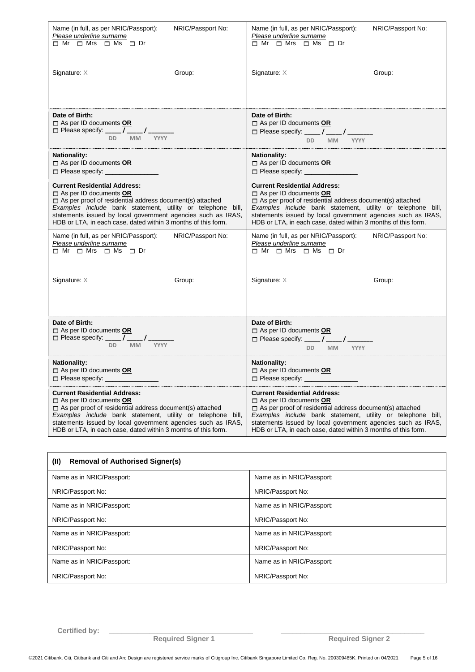| Name (in full, as per NRIC/Passport):                            | Name (in full, as per NRIC/Passport):                                                                           |  |
|------------------------------------------------------------------|-----------------------------------------------------------------------------------------------------------------|--|
| NRIC/Passport No:                                                | NRIC/Passport No:                                                                                               |  |
| Please underline surname                                         | Please underline surname                                                                                        |  |
| $\Box$ Mr $\Box$ Mrs $\Box$ Ms $\Box$ Dr                         | $\Box$ Mr $\Box$ Mrs $\Box$ Ms $\Box$ Dr                                                                        |  |
| Signature: X                                                     | Signature: $X$                                                                                                  |  |
| Group:                                                           | Group:                                                                                                          |  |
| Date of Birth:                                                   | Date of Birth:                                                                                                  |  |
| $\Box$ As per ID documents OR                                    | $\Box$ As per ID documents OR                                                                                   |  |
| □ Please specify: _____ / _____/ _____                           | □ Please specify: ____ / ____ / _____                                                                           |  |
| DD MM YYYY                                                       | DD MM YYYY                                                                                                      |  |
| <b>Nationality:</b>                                              | Nationality:                                                                                                    |  |
| $\Box$ As per ID documents OR                                    | $\Box$ As per ID documents OR                                                                                   |  |
| $\square$ Please specify: $\square$                              | □ Please specify: ___________                                                                                   |  |
| <b>Current Residential Address:</b>                              | <b>Current Residential Address:</b>                                                                             |  |
| $\Box$ As per ID documents OR                                    | $\Box$ As per ID documents OR                                                                                   |  |
| $\Box$ As per proof of residential address document(s) attached  | $\Box$ As per proof of residential address document(s) attached                                                 |  |
| Examples include bank statement, utility or telephone bill,      | Examples include bank statement, utility or telephone bill,                                                     |  |
| statements issued by local government agencies such as IRAS,     | statements issued by local government agencies such as IRAS,                                                    |  |
| HDB or LTA, in each case, dated within 3 months of this form.    | HDB or LTA, in each case, dated within 3 months of this form.                                                   |  |
| NRIC/Passport No:                                                | NRIC/Passport No:                                                                                               |  |
| Name (in full, as per NRIC/Passport):                            | Name (in full, as per NRIC/Passport):                                                                           |  |
| Please underline surname                                         | Please underline surname                                                                                        |  |
| $\Box$ Mr $\Box$ Mrs $\Box$ Ms $\Box$ Dr                         | $\Box$ Mr $\Box$ Mrs $\Box$ Ms $\Box$ Dr                                                                        |  |
| Signature: X                                                     | Signature: X                                                                                                    |  |
| Group:                                                           | Group:                                                                                                          |  |
| Date of Birth:<br>As per ID documents OR<br>DD MM<br><b>YYYY</b> | Date of Birth:<br>$\Box$ As per ID documents <b>OR</b><br>□ Please specify: ____ / ____ / _______<br>DD MM YYYY |  |
| <b>Nationality:</b>                                              | <b>Nationality:</b>                                                                                             |  |
| $\Box$ As per ID documents OR                                    | $\Box$ As per ID documents OR                                                                                   |  |
| $\Box$ Please specify: $\Box$                                    | $\Box$ Please specify: $\Box$                                                                                   |  |
| <b>Current Residential Address:</b>                              | <b>Current Residential Address:</b>                                                                             |  |
| $\Box$ As per ID documents OR                                    | $\Box$ As per ID documents OR                                                                                   |  |
| $\Box$ As per proof of residential address document(s) attached  | $\Box$ As per proof of residential address document(s) attached                                                 |  |
| Examples include bank statement, utility or telephone bill,      | Examples include bank statement, utility or telephone bill,                                                     |  |
| statements issued by local government agencies such as IRAS,     | statements issued by local government agencies such as IRAS,                                                    |  |
| HDB or LTA, in each case, dated within 3 months of this form.    | HDB or LTA, in each case, dated within 3 months of this form.                                                   |  |

| <b>Removal of Authorised Signer(s)</b><br>(II) |                           |  |
|------------------------------------------------|---------------------------|--|
| Name as in NRIC/Passport:                      | Name as in NRIC/Passport: |  |
| NRIC/Passport No:                              | NRIC/Passport No:         |  |
| Name as in NRIC/Passport:                      | Name as in NRIC/Passport: |  |
| NRIC/Passport No:                              | NRIC/Passport No:         |  |
| Name as in NRIC/Passport:                      | Name as in NRIC/Passport: |  |
| NRIC/Passport No:                              | NRIC/Passport No:         |  |
| Name as in NRIC/Passport:                      | Name as in NRIC/Passport: |  |
| NRIC/Passport No:                              | NRIC/Passport No:         |  |

**Required Signer 1** 

**Certified by: \_\_\_\_\_\_\_\_\_\_\_\_\_\_\_\_\_\_\_\_\_\_\_\_\_\_\_\_\_\_\_\_\_\_\_\_ \_\_\_\_\_\_\_\_\_\_\_\_\_\_\_\_\_\_\_\_\_\_\_\_\_\_\_\_\_\_\_\_\_\_\_\_**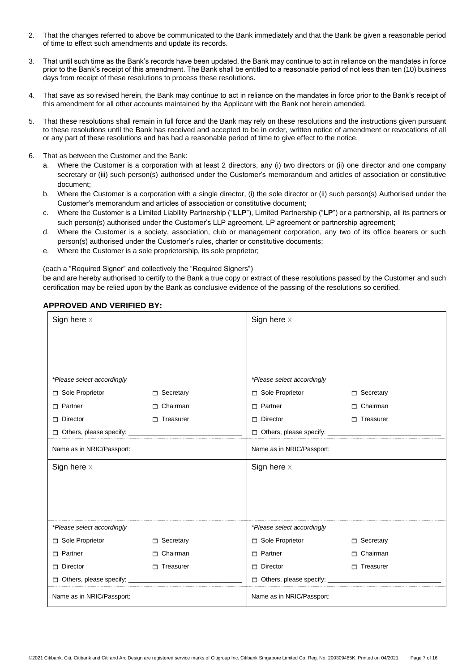- 2. That the changes referred to above be communicated to the Bank immediately and that the Bank be given a reasonable period of time to effect such amendments and update its records.
- 3. That until such time as the Bank's records have been updated, the Bank may continue to act in reliance on the mandates in force prior to the Bank's receipt of this amendment. The Bank shall be entitled to a reasonable period of not less than ten (10) business days from receipt of these resolutions to process these resolutions.
- 4. That save as so revised herein, the Bank may continue to act in reliance on the mandates in force prior to the Bank's receipt of this amendment for all other accounts maintained by the Applicant with the Bank not herein amended.
- 5. That these resolutions shall remain in full force and the Bank may rely on these resolutions and the instructions given pursuant to these resolutions until the Bank has received and accepted to be in order, written notice of amendment or revocations of all or any part of these resolutions and has had a reasonable period of time to give effect to the notice.
- 6. That as between the Customer and the Bank:
	- a. Where the Customer is a corporation with at least 2 directors, any (i) two directors or (ii) one director and one company secretary or (iii) such person(s) authorised under the Customer's memorandum and articles of association or constitutive document;
	- b. Where the Customer is a corporation with a single director, (i) the sole director or (ii) such person(s) Authorised under the Customer's memorandum and articles of association or constitutive document;
	- c. Where the Customer is a Limited Liability Partnership ("**LLP**"), Limited Partnership ("**LP**") or a partnership, all its partners or such person(s) authorised under the Customer's LLP agreement, LP agreement or partnership agreement;
	- d. Where the Customer is a society, association, club or management corporation, any two of its office bearers or such person(s) authorised under the Customer's rules, charter or constitutive documents;
	- e. Where the Customer is a sole proprietorship, its sole proprietor;

(each a "Required Signer" and collectively the "Required Signers")

be and are hereby authorised to certify to the Bank a true copy or extract of these resolutions passed by the Customer and such certification may be relied upon by the Bank as conclusive evidence of the passing of the resolutions so certified.

| <b>APPROVED AND VERIFIED BY:</b> |  |  |
|----------------------------------|--|--|
|                                  |  |  |

| Sign here $\times$         |                  | Sign here $\times$                    |                  |
|----------------------------|------------------|---------------------------------------|------------------|
|                            |                  |                                       |                  |
| *Please select accordingly |                  | *Please select accordingly            |                  |
| Sole Proprietor            | $\Box$ Secretary | Sole Proprietor                       | $\Box$ Secretary |
| $\Box$ Partner             | $\Box$ Chairman  | $\Box$ Partner                        | $\Box$ Chairman  |
| $\Box$ Director            | $\Box$ Treasurer | $\Box$ Director                       | $\Box$ Treasurer |
|                            |                  | Others, please specify: _____________ |                  |
| Name as in NRIC/Passport:  |                  | Name as in NRIC/Passport:             |                  |
| Sign here $\times$         |                  | Sign here $\times$                    |                  |
|                            |                  |                                       |                  |
|                            |                  |                                       |                  |
|                            |                  |                                       |                  |
| *Please select accordingly |                  | *Please select accordingly            |                  |
| Sole Proprietor            | $\Box$ Secretary | Sole Proprietor                       | □ Secretary      |
| $\Box$ Partner             | $\Box$ Chairman  | $\Box$ Partner                        | Chairman<br>п    |
| $\Box$ Director            | $\Box$ Treasurer | $\Box$ Director                       | $\Box$ Treasurer |
|                            |                  |                                       |                  |
| Name as in NRIC/Passport:  |                  | Name as in NRIC/Passport:             |                  |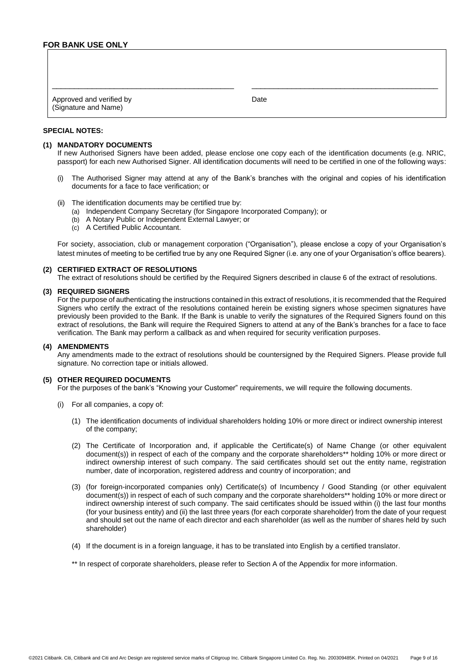| Approved and verified by<br>(Signature and Name) | Date |
|--------------------------------------------------|------|

## **SPECIAL NOTES:**

## **(1) MANDATORY DOCUMENTS**

If new Authorised Signers have been added, please enclose one copy each of the identification documents (e.g. NRIC, passport) for each new Authorised Signer. All identification documents will need to be certified in one of the following ways:

- (i) The Authorised Signer may attend at any of the Bank's branches with the original and copies of his identification documents for a face to face verification; or
- (ii) The identification documents may be certified true by:
	- (a) Independent Company Secretary (for Singapore Incorporated Company); or
	- (b) A Notary Public or Independent External Lawyer; or
	- (c) A Certified Public Accountant.

For society, association, club or management corporation ("Organisation"), please enclose a copy of your Organisation's latest minutes of meeting to be certified true by any one Required Signer (i.e. any one of your Organisation's office bearers).

## **(2) CERTIFIED EXTRACT OF RESOLUTIONS**

The extract of resolutions should be certified by the Required Signers described in clause 6 of the extract of resolutions.

## **(3) REQUIRED SIGNERS**

For the purpose of authenticating the instructions contained in this extract of resolutions, it is recommended that the Required Signers who certify the extract of the resolutions contained herein be existing signers whose specimen signatures have previously been provided to the Bank. If the Bank is unable to verify the signatures of the Required Signers found on this extract of resolutions, the Bank will require the Required Signers to attend at any of the Bank's branches for a face to face verification. The Bank may perform a callback as and when required for security verification purposes.

#### **(4) AMENDMENTS**

Any amendments made to the extract of resolutions should be countersigned by the Required Signers. Please provide full signature. No correction tape or initials allowed.

## **(5) OTHER REQUIRED DOCUMENTS**

For the purposes of the bank's "Knowing your Customer" requirements, we will require the following documents.

- (i) For all companies, a copy of:
	- (1) The identification documents of individual shareholders holding 10% or more direct or indirect ownership interest of the company;
	- (2) The Certificate of Incorporation and, if applicable the Certificate(s) of Name Change (or other equivalent document(s)) in respect of each of the company and the corporate shareholders\*\* holding 10% or more direct or indirect ownership interest of such company. The said certificates should set out the entity name, registration number, date of incorporation, registered address and country of incorporation; and
	- (3) (for foreign-incorporated companies only) Certificate(s) of Incumbency / Good Standing (or other equivalent document(s)) in respect of each of such company and the corporate shareholders\*\* holding 10% or more direct or indirect ownership interest of such company. The said certificates should be issued within (i) the last four months (for your business entity) and (ii) the last three years (for each corporate shareholder) from the date of your request and should set out the name of each director and each shareholder (as well as the number of shares held by such shareholder)
	- (4) If the document is in a foreign language, it has to be translated into English by a certified translator.

\*\* In respect of corporate shareholders, please refer to Section A of the Appendix for more information.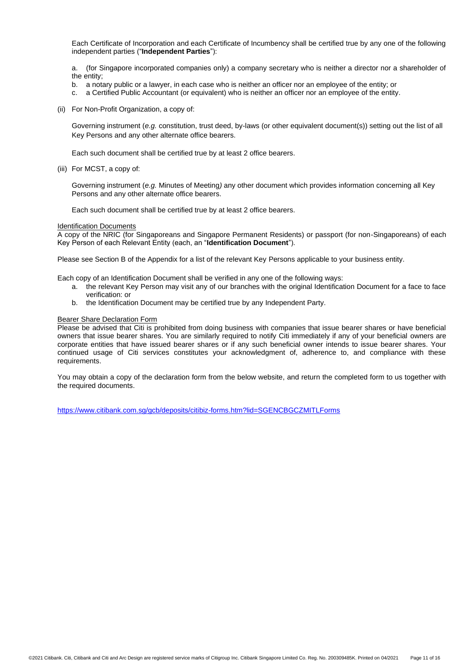Each Certificate of Incorporation and each Certificate of Incumbency shall be certified true by any one of the following independent parties ("**Independent Parties**"):

a. (for Singapore incorporated companies only) a company secretary who is neither a director nor a shareholder of the entity;

- b. a notary public or a lawyer, in each case who is neither an officer nor an employee of the entity; or
- c. a Certified Public Accountant (or equivalent) who is neither an officer nor an employee of the entity.
- (ii) For Non-Profit Organization, a copy of:

Governing instrument (*e.g.* constitution, trust deed, by-laws (or other equivalent document(s)) setting out the list of all Key Persons and any other alternate office bearers.

Each such document shall be certified true by at least 2 office bearers.

(iii) For MCST, a copy of:

Governing instrument (*e.g.* Minutes of Meeting*)* any other document which provides information concerning all Key Persons and any other alternate office bearers.

Each such document shall be certified true by at least 2 office bearers.

#### Identification Documents

A copy of the NRIC (for Singaporeans and Singapore Permanent Residents) or passport (for non-Singaporeans) of each Key Person of each Relevant Entity (each, an "**Identification Document**").

Please see Section B of the Appendix for a list of the relevant Key Persons applicable to your business entity.

- Each copy of an Identification Document shall be verified in any one of the following ways:
	- a. the relevant Key Person may visit any of our branches with the original Identification Document for a face to face verification: or
	- b. the Identification Document may be certified true by any Independent Party.

## Bearer Share Declaration Form

Please be advised that Citi is prohibited from doing business with companies that issue bearer shares or have beneficial owners that issue bearer shares. You are similarly required to notify Citi immediately if any of your beneficial owners are corporate entities that have issued bearer shares or if any such beneficial owner intends to issue bearer shares. Your continued usage of Citi services constitutes your acknowledgment of, adherence to, and compliance with these requirements.

You may obtain a copy of the declaration form from the below website, and return the completed form to us together with the required documents.

<https://www.citibank.com.sg/gcb/deposits/citibiz-forms.htm?lid=SGENCBGCZMITLForms>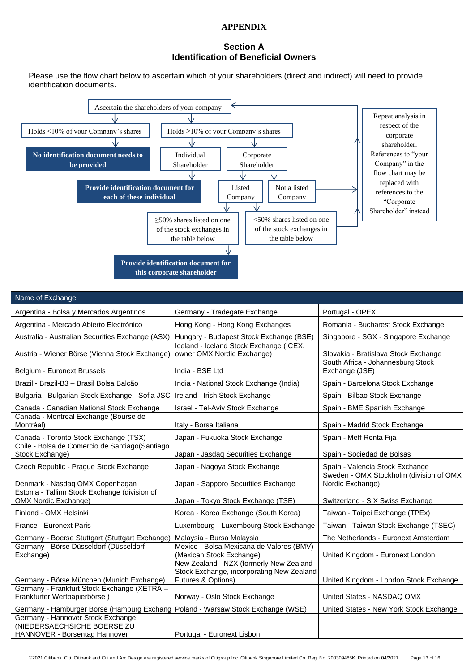# **APPENDIX**

# **Section A Identification of Beneficial Owners**

Please use the flow chart below to ascertain which of your shareholders (direct and indirect) will need to provide identification documents.



| Name of Exchange                                                                                  |                                                                                                            |                                                             |
|---------------------------------------------------------------------------------------------------|------------------------------------------------------------------------------------------------------------|-------------------------------------------------------------|
| Argentina - Bolsa y Mercados Argentinos                                                           | Germany - Tradegate Exchange                                                                               | Portugal - OPEX                                             |
| Argentina - Mercado Abierto Electrónico                                                           | Hong Kong - Hong Kong Exchanges                                                                            | Romania - Bucharest Stock Exchange                          |
| Australia - Australian Securities Exchange (ASX)                                                  | Hungary - Budapest Stock Exchange (BSE)                                                                    | Singapore - SGX - Singapore Exchange                        |
| Austria - Wiener Börse (Vienna Stock Exchange)                                                    | Iceland - Iceland Stock Exchange (ICEX,<br>owner OMX Nordic Exchange)                                      | Slovakia - Bratislava Stock Exchange                        |
| Belgium - Euronext Brussels                                                                       | India - BSE Ltd                                                                                            | South Africa - Johannesburg Stock<br>Exchange (JSE)         |
| Brazil - Brazil-B3 - Brasil Bolsa Balcão                                                          | India - National Stock Exchange (India)                                                                    | Spain - Barcelona Stock Exchange                            |
| Bulgaria - Bulgarian Stock Exchange - Sofia JSC                                                   | Ireland - Irish Stock Exchange                                                                             | Spain - Bilbao Stock Exchange                               |
| Canada - Canadian National Stock Exchange                                                         | Israel - Tel-Aviv Stock Exchange                                                                           | Spain - BME Spanish Exchange                                |
| Canada - Montreal Exchange (Bourse de<br>Montréal)                                                | Italy - Borsa Italiana                                                                                     | Spain - Madrid Stock Exchange                               |
| Canada - Toronto Stock Exchange (TSX)                                                             | Japan - Fukuoka Stock Exchange                                                                             | Spain - Meff Renta Fija                                     |
| Chile - Bolsa de Comercio de Santiago (Santiago<br>Stock Exchange)                                | Japan - Jasdaq Securities Exchange                                                                         | Spain - Sociedad de Bolsas                                  |
| Czech Republic - Prague Stock Exchange                                                            | Japan - Nagoya Stock Exchange                                                                              | Spain - Valencia Stock Exchange                             |
| Denmark - Nasdaq OMX Copenhagan                                                                   | Japan - Sapporo Securities Exchange                                                                        | Sweden - OMX Stockholm (division of OMX<br>Nordic Exchange) |
| Estonia - Tallinn Stock Exchange (division of<br><b>OMX Nordic Exchange)</b>                      | Japan - Tokyo Stock Exchange (TSE)                                                                         | Switzerland - SIX Swiss Exchange                            |
| Finland - OMX Helsinki                                                                            | Korea - Korea Exchange (South Korea)                                                                       | Taiwan - Taipei Exchange (TPEx)                             |
| France - Euronext Paris                                                                           | Luxembourg - Luxembourg Stock Exchange                                                                     | Taiwan - Taiwan Stock Exchange (TSEC)                       |
| Germany - Boerse Stuttgart (Stuttgart Exchange)                                                   | Malaysia - Bursa Malaysia                                                                                  | The Netherlands - Euronext Amsterdam                        |
| Germany - Börse Düsseldorf (Düsseldorf<br>Exchange)                                               | Mexico - Bolsa Mexicana de Valores (BMV)<br>(Mexican Stock Exchange)                                       | United Kingdom - Euronext London                            |
| Germany - Börse München (Munich Exchange)                                                         | New Zealand - NZX (formerly New Zealand<br>Stock Exchange, incorporating New Zealand<br>Futures & Options) | United Kingdom - London Stock Exchange                      |
| Germany - Frankfurt Stock Exchange (XETRA -<br>Frankfurter Wertpapierbörse                        | Norway - Oslo Stock Exchange                                                                               | United States - NASDAQ OMX                                  |
| Germany - Hamburger Börse (Hamburg Exchang                                                        | Poland - Warsaw Stock Exchange (WSE)                                                                       | United States - New York Stock Exchange                     |
| Germany - Hannover Stock Exchange<br>(NIEDERSAECHSICHE BOERSE ZU<br>HANNOVER - Borsentag Hannover | Portugal - Euronext Lisbon                                                                                 |                                                             |